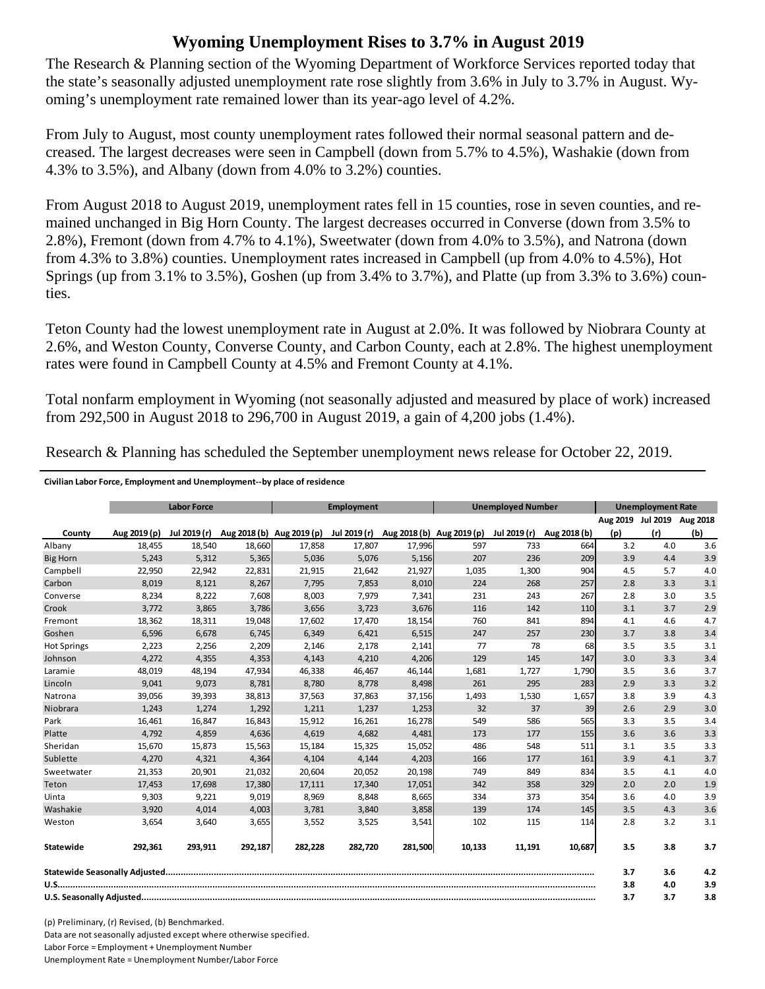## **Wyoming Unemployment Rises to 3.7% in August 2019**

The Research & Planning section of the Wyoming Department of Workforce Services reported today that the state's seasonally adjusted unemployment rate rose slightly from 3.6% in July to 3.7% in August. Wyoming's unemployment rate remained lower than its year-ago level of 4.2%.

From July to August, most county unemployment rates followed their normal seasonal pattern and decreased. The largest decreases were seen in Campbell (down from 5.7% to 4.5%), Washakie (down from 4.3% to 3.5%), and Albany (down from 4.0% to 3.2%) counties.

From August 2018 to August 2019, unemployment rates fell in 15 counties, rose in seven counties, and remained unchanged in Big Horn County. The largest decreases occurred in Converse (down from 3.5% to 2.8%), Fremont (down from 4.7% to 4.1%), Sweetwater (down from 4.0% to 3.5%), and Natrona (down from 4.3% to 3.8%) counties. Unemployment rates increased in Campbell (up from 4.0% to 4.5%), Hot Springs (up from 3.1% to 3.5%), Goshen (up from 3.4% to 3.7%), and Platte (up from 3.3% to 3.6%) counties.

Teton County had the lowest unemployment rate in August at 2.0%. It was followed by Niobrara County at 2.6%, and Weston County, Converse County, and Carbon County, each at 2.8%. The highest unemployment rates were found in Campbell County at 4.5% and Fremont County at 4.1%.

Total nonfarm employment in Wyoming (not seasonally adjusted and measured by place of work) increased from 292,500 in August 2018 to 296,700 in August 2019, a gain of 4,200 jobs (1.4%).

County Aug 2019 (p) Jul 2019 (r) Aug 2018 (b) Aug 2019 (p) Jul 2019 (r) Aug 2018 (b) Aug 2019 (p) Jul 2019 (r) Aug 2018 (b) **Aug 2019 Jul 2019 Aug 2018 (p) (r) (b)** Albany 18,455 18,540 18,660 17,858 17,807 17,996 597 733 664 3.2 4.0 3.6 Big Horn 5,243 5,312 5,365 5,036 5,076 5,156 207 236 209 3.9 4.4 3.9 Campbell 22,950 22,942 22,831 21,915 21,642 21,927 1,035 1,300 904 4.5 5.7 4.0 Carbon 8,019 8,121 8,267 7,795 7,853 8,010 224 268 257 2.8 3.3 3.1 Converse 8,234 8,222 7,608 8,003 7,979 7,341 231 243 267 2.8 3.0 3.5 Crook 3,772 3,865 3,786 3,656 3,723 3,676 116 142 110 3.1 3.7 2.9 Fremont 18,362 18,311 19,048 17,602 17,470 18,154 760 841 894 4.1 4.6 4.7 Goshen 6,596 6,678 6,745 6,349 6,421 6,515 247 257 230 3.7 3.8 3.4 Hot Springs 2,223 2,256 2,209 2,146 2,178 2,141 77 78 68 3.5 3.5 3.1 Johnson 4,272 4,355 4,353 4,143 4,210 4,206 129 145 147 3.0 3.3 3.4 Laramie 48,019 48,194 47,934 46,338 46,467 46,144 1,681 1,727 1,790 3.5 3.6 3.7 Lincoln 9,041 9,073 8,781 8,780 8,778 8,498 261 295 283 2.9 3.3 3.2 Natrona 39,056 39,393 38,813 37,563 37,863 37,156 1,493 1,530 1,657 3.8 3.9 4.3 Niobrara 1,243 1,274 1,292 1,211 1,237 1,253 32 37 39 2.6 2.9 3.0 Park 16,461 16,847 16,843 15,912 16,261 16,278 549 586 565 3.3 3.5 3.4 Platte 4,792 4,859 4,636 4,619 4,682 4,481 173 177 155 3.6 3.6 3.3 Sheridan 15,670 15,873 15,563| 15,184 15,325 15,052| 486 548 511| 3.1 3.5 3.3 Sublette 4,270 4,321 4,364 4,104 4,144 4,203 166 177 161 3.9 4.1 3.7 Sweetwater 21,353 20,901 21,032| 20,604 20,052 20,198| 749 834| 3.5 4.1 4.0 Teton 17,453 17,698 17,380 17,111 17,340 17,051 342 358 329 2.0 2.0 1.9 Uinta 9,303 9,221 9,019 8,969 8,848 8,665 334 373 354 3.6 4.0 3.9 Washakie 3,920 4,014 4,003 3,781 3,840 3,858 139 174 145 3.5 4.3 3.6 Weston 3,654 3,640 3,655 3,552 3,525 3,541 102 115 114 2.8 3.2 3.1 **Statewide 292,361 293,911 292,187 282,228 282,720 281,500 10,133 11,191 10,687 3.5 3.8 3.7 Statewide Seasonally Adjusted......................................................................................................................................................................... 3.7 3.6 4.2 U.S.................................................................................................................................................................................................................... 3.8 4.0 3.9 U.S. Seasonally Adjusted................................................................................................................................................................................... 3.7 3.7 3.8 Labor Force Employment Unemployed Number Unemployment Rate**

Research & Planning has scheduled the September unemployment news release for October 22, 2019.

(p) Preliminary, (r) Revised, (b) Benchmarked. Data are not seasonally adjusted except where otherwise specified. Labor Force = Employment + Unemployment Number Unemployment Rate = Unemployment Number/Labor Force

**Civilian Labor Force, Employment and Unemployment‐‐by place of residence**